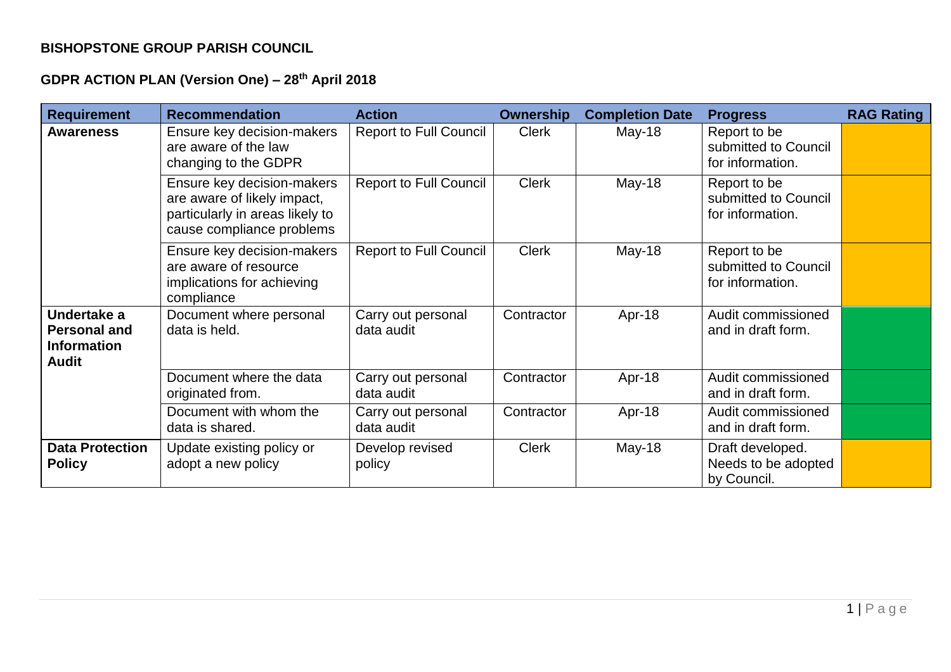## **BISHOPSTONE GROUP PARISH COUNCIL**

## **GDPR ACTION PLAN (Version One) – 28th April 2018**

| <b>Requirement</b>                                                       | <b>Recommendation</b>                                                                                                     | <b>Action</b>                    | <b>Ownership</b> | <b>Completion Date</b> | <b>Progress</b>                                          | <b>RAG Rating</b> |
|--------------------------------------------------------------------------|---------------------------------------------------------------------------------------------------------------------------|----------------------------------|------------------|------------------------|----------------------------------------------------------|-------------------|
| Awareness                                                                | Ensure key decision-makers<br>are aware of the law<br>changing to the GDPR                                                | <b>Report to Full Council</b>    | <b>Clerk</b>     | $May-18$               | Report to be<br>submitted to Council<br>for information. |                   |
|                                                                          | Ensure key decision-makers<br>are aware of likely impact,<br>particularly in areas likely to<br>cause compliance problems | <b>Report to Full Council</b>    | <b>Clerk</b>     | $May-18$               | Report to be<br>submitted to Council<br>for information. |                   |
|                                                                          | Ensure key decision-makers<br>are aware of resource<br>implications for achieving<br>compliance                           | <b>Report to Full Council</b>    | <b>Clerk</b>     | May-18                 | Report to be<br>submitted to Council<br>for information. |                   |
| Undertake a<br><b>Personal and</b><br><b>Information</b><br><b>Audit</b> | Document where personal<br>data is held.                                                                                  | Carry out personal<br>data audit | Contractor       | Apr-18                 | Audit commissioned<br>and in draft form.                 |                   |
|                                                                          | Document where the data<br>originated from.                                                                               | Carry out personal<br>data audit | Contractor       | Apr-18                 | Audit commissioned<br>and in draft form.                 |                   |
|                                                                          | Document with whom the<br>data is shared.                                                                                 | Carry out personal<br>data audit | Contractor       | Apr-18                 | Audit commissioned<br>and in draft form.                 |                   |
| <b>Data Protection</b><br><b>Policy</b>                                  | Update existing policy or<br>adopt a new policy                                                                           | Develop revised<br>policy        | <b>Clerk</b>     | $May-18$               | Draft developed.<br>Needs to be adopted<br>by Council.   |                   |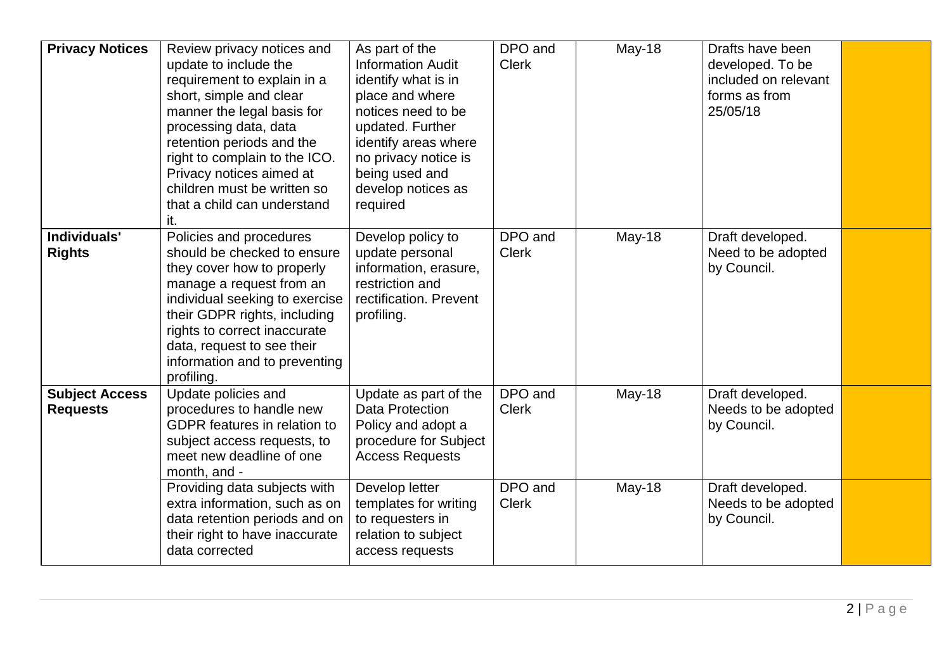| <b>Privacy Notices</b>                   | Review privacy notices and<br>update to include the<br>requirement to explain in a<br>short, simple and clear<br>manner the legal basis for<br>processing data, data<br>retention periods and the<br>right to complain to the ICO.<br>Privacy notices aimed at<br>children must be written so<br>that a child can understand | As part of the<br><b>Information Audit</b><br>identify what is in<br>place and where<br>notices need to be<br>updated. Further<br>identify areas where<br>no privacy notice is<br>being used and<br>develop notices as<br>required | DPO and<br><b>Clerk</b> | May-18 | Drafts have been<br>developed. To be<br>included on relevant<br>forms as from<br>25/05/18 |  |
|------------------------------------------|------------------------------------------------------------------------------------------------------------------------------------------------------------------------------------------------------------------------------------------------------------------------------------------------------------------------------|------------------------------------------------------------------------------------------------------------------------------------------------------------------------------------------------------------------------------------|-------------------------|--------|-------------------------------------------------------------------------------------------|--|
| Individuals'<br><b>Rights</b>            | it.<br>Policies and procedures<br>should be checked to ensure<br>they cover how to properly<br>manage a request from an<br>individual seeking to exercise<br>their GDPR rights, including<br>rights to correct inaccurate<br>data, request to see their<br>information and to preventing<br>profiling.                       | Develop policy to<br>update personal<br>information, erasure,<br>restriction and<br>rectification. Prevent<br>profiling.                                                                                                           | DPO and<br><b>Clerk</b> | May-18 | Draft developed.<br>Need to be adopted<br>by Council.                                     |  |
| <b>Subject Access</b><br><b>Requests</b> | Update policies and<br>procedures to handle new<br><b>GDPR</b> features in relation to<br>subject access requests, to<br>meet new deadline of one<br>month, and -                                                                                                                                                            | Update as part of the<br>Data Protection<br>Policy and adopt a<br>procedure for Subject<br><b>Access Requests</b>                                                                                                                  | DPO and<br><b>Clerk</b> | May-18 | Draft developed.<br>Needs to be adopted<br>by Council.                                    |  |
|                                          | Providing data subjects with<br>extra information, such as on<br>data retention periods and on<br>their right to have inaccurate<br>data corrected                                                                                                                                                                           | Develop letter<br>templates for writing<br>to requesters in<br>relation to subject<br>access requests                                                                                                                              | DPO and<br><b>Clerk</b> | May-18 | Draft developed.<br>Needs to be adopted<br>by Council.                                    |  |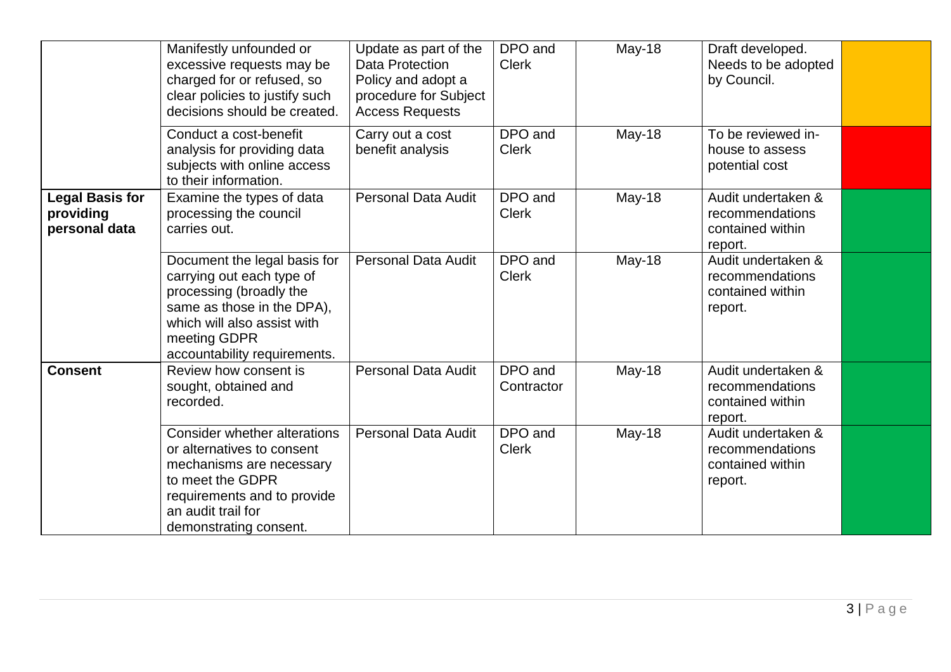|                                                      | Manifestly unfounded or<br>excessive requests may be<br>charged for or refused, so<br>clear policies to justify such<br>decisions should be created.                                              | Update as part of the<br>Data Protection<br>Policy and adopt a<br>procedure for Subject<br><b>Access Requests</b> | DPO and<br><b>Clerk</b> | $May-18$ | Draft developed.<br>Needs to be adopted<br>by Council.               |  |
|------------------------------------------------------|---------------------------------------------------------------------------------------------------------------------------------------------------------------------------------------------------|-------------------------------------------------------------------------------------------------------------------|-------------------------|----------|----------------------------------------------------------------------|--|
|                                                      | Conduct a cost-benefit<br>analysis for providing data<br>subjects with online access<br>to their information.                                                                                     | Carry out a cost<br>benefit analysis                                                                              | DPO and<br><b>Clerk</b> | May-18   | To be reviewed in-<br>house to assess<br>potential cost              |  |
| <b>Legal Basis for</b><br>providing<br>personal data | Examine the types of data<br>processing the council<br>carries out.                                                                                                                               | <b>Personal Data Audit</b>                                                                                        | DPO and<br><b>Clerk</b> | May-18   | Audit undertaken &<br>recommendations<br>contained within<br>report. |  |
|                                                      | Document the legal basis for<br>carrying out each type of<br>processing (broadly the<br>same as those in the DPA),<br>which will also assist with<br>meeting GDPR<br>accountability requirements. | <b>Personal Data Audit</b>                                                                                        | DPO and<br><b>Clerk</b> | May-18   | Audit undertaken &<br>recommendations<br>contained within<br>report. |  |
| <b>Consent</b>                                       | Review how consent is<br>sought, obtained and<br>recorded.                                                                                                                                        | <b>Personal Data Audit</b>                                                                                        | DPO and<br>Contractor   | May-18   | Audit undertaken &<br>recommendations<br>contained within<br>report. |  |
|                                                      | <b>Consider whether alterations</b><br>or alternatives to consent<br>mechanisms are necessary<br>to meet the GDPR<br>requirements and to provide<br>an audit trail for<br>demonstrating consent.  | <b>Personal Data Audit</b>                                                                                        | DPO and<br><b>Clerk</b> | May-18   | Audit undertaken &<br>recommendations<br>contained within<br>report. |  |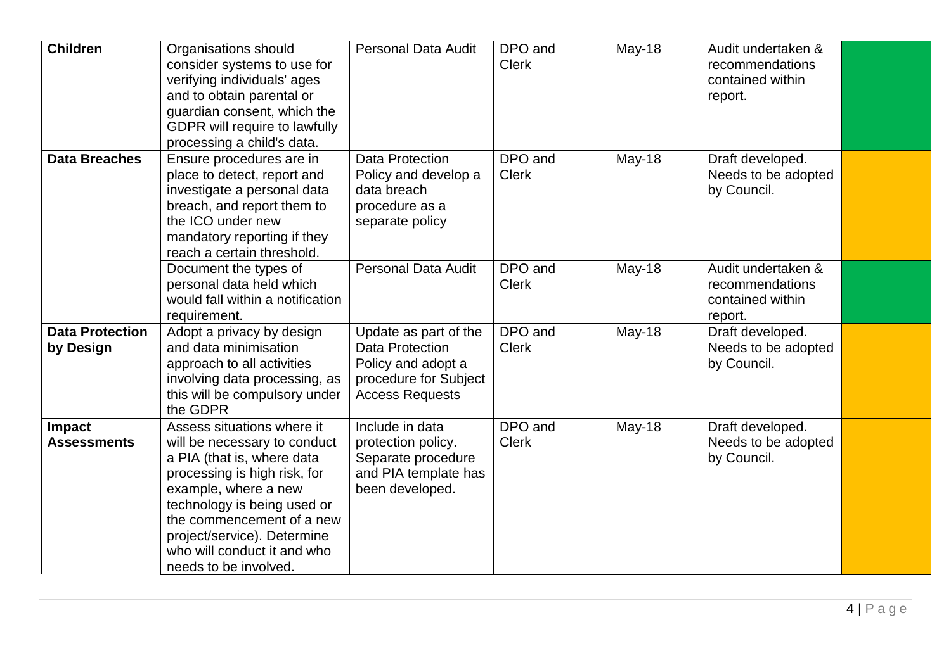| <b>Children</b>                     | Organisations should<br>consider systems to use for<br>verifying individuals' ages<br>and to obtain parental or<br>guardian consent, which the<br>GDPR will require to lawfully<br>processing a child's data.                                                                                       | <b>Personal Data Audit</b>                                                                                               | DPO and<br><b>Clerk</b> | May-18 | Audit undertaken &<br>recommendations<br>contained within<br>report. |  |
|-------------------------------------|-----------------------------------------------------------------------------------------------------------------------------------------------------------------------------------------------------------------------------------------------------------------------------------------------------|--------------------------------------------------------------------------------------------------------------------------|-------------------------|--------|----------------------------------------------------------------------|--|
| <b>Data Breaches</b>                | Ensure procedures are in<br>place to detect, report and<br>investigate a personal data<br>breach, and report them to<br>the ICO under new<br>mandatory reporting if they<br>reach a certain threshold.                                                                                              | <b>Data Protection</b><br>Policy and develop a<br>data breach<br>procedure as a<br>separate policy                       | DPO and<br><b>Clerk</b> | May-18 | Draft developed.<br>Needs to be adopted<br>by Council.               |  |
|                                     | Document the types of<br>personal data held which<br>would fall within a notification<br>requirement.                                                                                                                                                                                               | <b>Personal Data Audit</b>                                                                                               | DPO and<br><b>Clerk</b> | May-18 | Audit undertaken &<br>recommendations<br>contained within<br>report. |  |
| <b>Data Protection</b><br>by Design | Adopt a privacy by design<br>and data minimisation<br>approach to all activities<br>involving data processing, as<br>this will be compulsory under<br>the GDPR                                                                                                                                      | Update as part of the<br><b>Data Protection</b><br>Policy and adopt a<br>procedure for Subject<br><b>Access Requests</b> | DPO and<br><b>Clerk</b> | May-18 | Draft developed.<br>Needs to be adopted<br>by Council.               |  |
| Impact<br><b>Assessments</b>        | Assess situations where it<br>will be necessary to conduct<br>a PIA (that is, where data<br>processing is high risk, for<br>example, where a new<br>technology is being used or<br>the commencement of a new<br>project/service). Determine<br>who will conduct it and who<br>needs to be involved. | Include in data<br>protection policy.<br>Separate procedure<br>and PIA template has<br>been developed.                   | DPO and<br><b>Clerk</b> | May-18 | Draft developed.<br>Needs to be adopted<br>by Council.               |  |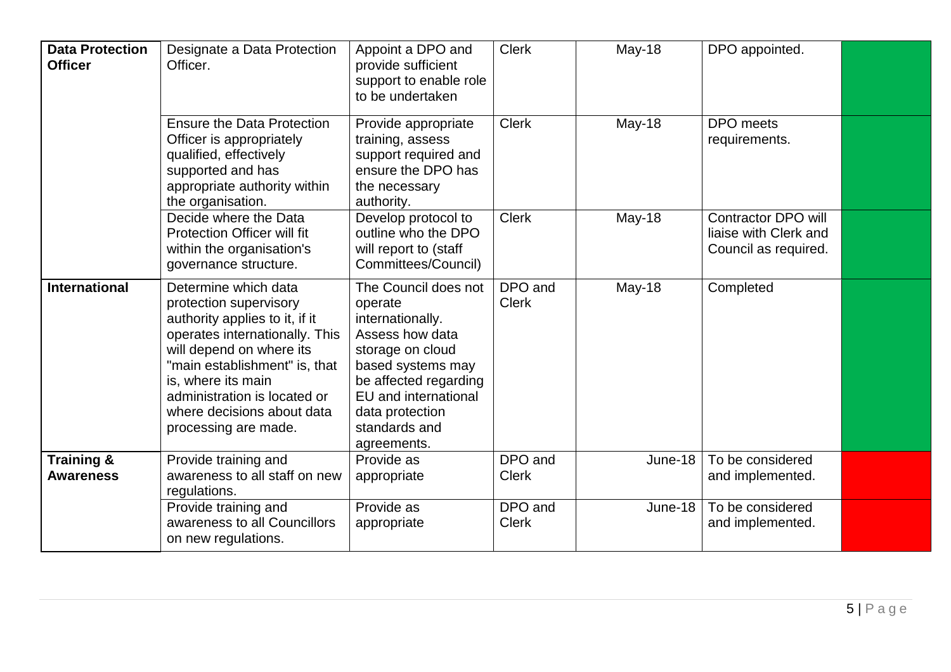| <b>Data Protection</b><br><b>Officer</b>  | Designate a Data Protection<br>Officer.                                                                                                                                                                                                                                                     | Appoint a DPO and<br>provide sufficient<br>support to enable role<br>to be undertaken                                                                                                                               | <b>Clerk</b>            | May-18  | DPO appointed.                                                              |  |
|-------------------------------------------|---------------------------------------------------------------------------------------------------------------------------------------------------------------------------------------------------------------------------------------------------------------------------------------------|---------------------------------------------------------------------------------------------------------------------------------------------------------------------------------------------------------------------|-------------------------|---------|-----------------------------------------------------------------------------|--|
|                                           | <b>Ensure the Data Protection</b><br>Officer is appropriately<br>qualified, effectively<br>supported and has<br>appropriate authority within<br>the organisation.                                                                                                                           | Provide appropriate<br>training, assess<br>support required and<br>ensure the DPO has<br>the necessary<br>authority.                                                                                                | <b>Clerk</b>            | May-18  | DPO meets<br>requirements.                                                  |  |
|                                           | Decide where the Data<br>Protection Officer will fit<br>within the organisation's<br>governance structure.                                                                                                                                                                                  | Develop protocol to<br>outline who the DPO<br>will report to (staff<br>Committees/Council)                                                                                                                          | <b>Clerk</b>            | May-18  | <b>Contractor DPO will</b><br>liaise with Clerk and<br>Council as required. |  |
| <b>International</b>                      | Determine which data<br>protection supervisory<br>authority applies to it, if it<br>operates internationally. This<br>will depend on where its<br>"main establishment" is, that<br>is, where its main<br>administration is located or<br>where decisions about data<br>processing are made. | The Council does not<br>operate<br>internationally.<br>Assess how data<br>storage on cloud<br>based systems may<br>be affected regarding<br>EU and international<br>data protection<br>standards and<br>agreements. | DPO and<br><b>Clerk</b> | May-18  | Completed                                                                   |  |
| <b>Training &amp;</b><br><b>Awareness</b> | Provide training and<br>awareness to all staff on new<br>regulations.                                                                                                                                                                                                                       | Provide as<br>appropriate                                                                                                                                                                                           | DPO and<br><b>Clerk</b> | June-18 | To be considered<br>and implemented.                                        |  |
|                                           | Provide training and<br>awareness to all Councillors<br>on new regulations.                                                                                                                                                                                                                 | Provide as<br>appropriate                                                                                                                                                                                           | DPO and<br><b>Clerk</b> | June-18 | To be considered<br>and implemented.                                        |  |